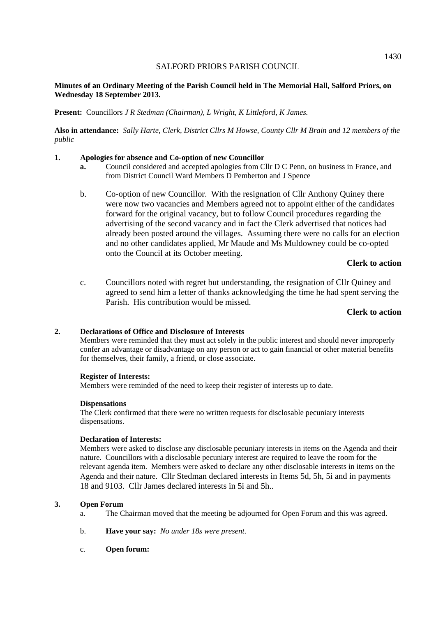### **Minutes of an Ordinary Meeting of the Parish Council held in The Memorial Hall, Salford Priors, on Wednesday 18 September 2013.**

**Present:** Councillors *J R Stedman (Chairman), L Wright, K Littleford, K James.* 

**Also in attendance:** *Sally Harte, Clerk, District Cllrs M Howse, County Cllr M Brain and 12 members of the public* 

### **1. Apologies for absence and Co-option of new Councillor**

- **a.** Council considered and accepted apologies from Cllr D C Penn, on business in France, and from District Council Ward Members D Pemberton and J Spence
- b. Co-option of new Councillor. With the resignation of Cllr Anthony Quiney there were now two vacancies and Members agreed not to appoint either of the candidates forward for the original vacancy, but to follow Council procedures regarding the advertising of the second vacancy and in fact the Clerk advertised that notices had already been posted around the villages. Assuming there were no calls for an election and no other candidates applied, Mr Maude and Ms Muldowney could be co-opted onto the Council at its October meeting.

#### **Clerk to action**

c. Councillors noted with regret but understanding, the resignation of Cllr Quiney and agreed to send him a letter of thanks acknowledging the time he had spent serving the Parish. His contribution would be missed.

### **Clerk to action**

### **2. Declarations of Office and Disclosure of Interests**

Members were reminded that they must act solely in the public interest and should never improperly confer an advantage or disadvantage on any person or act to gain financial or other material benefits for themselves, their family, a friend, or close associate.

### **Register of Interests:**

Members were reminded of the need to keep their register of interests up to date.

### **Dispensations**

The Clerk confirmed that there were no written requests for disclosable pecuniary interests dispensations.

#### **Declaration of Interests:**

Members were asked to disclose any disclosable pecuniary interests in items on the Agenda and their nature. Councillors with a disclosable pecuniary interest are required to leave the room for the relevant agenda item. Members were asked to declare any other disclosable interests in items on the Agenda and their nature. Cllr Stedman declared interests in Items 5d, 5h, 5i and in payments 18 and 9103. Cllr James declared interests in 5i and 5h..

#### **3. Open Forum**

- a. The Chairman moved that the meeting be adjourned for Open Forum and this was agreed.
- b. **Have your say:** *No under 18s were present.*
- c. **Open forum:**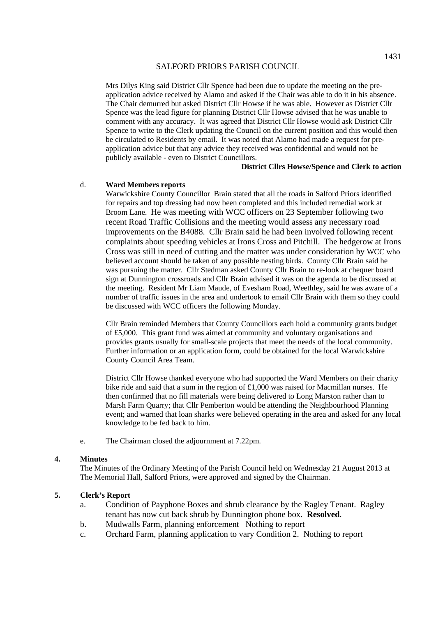Mrs Dilys King said District Cllr Spence had been due to update the meeting on the preapplication advice received by Alamo and asked if the Chair was able to do it in his absence. The Chair demurred but asked District Cllr Howse if he was able. However as District Cllr Spence was the lead figure for planning District Cllr Howse advised that he was unable to comment with any accuracy. It was agreed that District Cllr Howse would ask District Cllr Spence to write to the Clerk updating the Council on the current position and this would then be circulated to Residents by email. It was noted that Alamo had made a request for preapplication advice but that any advice they received was confidential and would not be publicly available - even to District Councillors.

### **District Cllrs Howse/Spence and Clerk to action**

#### d. **Ward Members reports**

Warwickshire County Councillor Brain stated that all the roads in Salford Priors identified for repairs and top dressing had now been completed and this included remedial work at Broom Lane. He was meeting with WCC officers on 23 September following two recent Road Traffic Collisions and the meeting would assess any necessary road improvements on the B4088. Cllr Brain said he had been involved following recent complaints about speeding vehicles at Irons Cross and Pitchill. The hedgerow at Irons Cross was still in need of cutting and the matter was under consideration by WCC who believed account should be taken of any possible nesting birds. County Cllr Brain said he was pursuing the matter. Cllr Stedman asked County Cllr Brain to re-look at chequer board sign at Dunnington crossroads and Cllr Brain advised it was on the agenda to be discussed at the meeting. Resident Mr Liam Maude, of Evesham Road, Weethley, said he was aware of a number of traffic issues in the area and undertook to email Cllr Brain with them so they could be discussed with WCC officers the following Monday.

Cllr Brain reminded Members that County Councillors each hold a community grants budget of £5,000. This grant fund was aimed at community and voluntary organisations and provides grants usually for small-scale projects that meet the needs of the local community. Further information or an application form, could be obtained for the local Warwickshire County Council Area Team.

District Cllr Howse thanked everyone who had supported the Ward Members on their charity bike ride and said that a sum in the region of  $£1,000$  was raised for Macmillan nurses. He then confirmed that no fill materials were being delivered to Long Marston rather than to Marsh Farm Quarry; that Cllr Pemberton would be attending the Neighbourhood Planning event; and warned that loan sharks were believed operating in the area and asked for any local knowledge to be fed back to him.

e. The Chairman closed the adjournment at 7.22pm.

#### **4. Minutes**

 The Minutes of the Ordinary Meeting of the Parish Council held on Wednesday 21 August 2013 at The Memorial Hall, Salford Priors, were approved and signed by the Chairman.

### **5. Clerk's Report**

- a. Condition of Payphone Boxes and shrub clearance by the Ragley Tenant. Ragley tenant has now cut back shrub by Dunnington phone box. **Resolved**.
- b. Mudwalls Farm, planning enforcement Nothing to report
- c. Orchard Farm, planning application to vary Condition 2. Nothing to report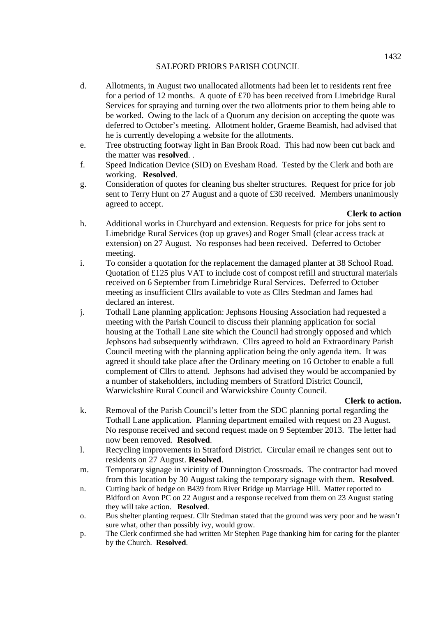- d. Allotments, in August two unallocated allotments had been let to residents rent free for a period of 12 months. A quote of £70 has been received from Limebridge Rural Services for spraying and turning over the two allotments prior to them being able to be worked. Owing to the lack of a Quorum any decision on accepting the quote was deferred to October's meeting. Allotment holder, Graeme Beamish, had advised that he is currently developing a website for the allotments.
- e. Tree obstructing footway light in Ban Brook Road. This had now been cut back and the matter was **resolved**. .
- f. Speed Indication Device (SID) on Evesham Road. Tested by the Clerk and both are working. **Resolved**.
- g. Consideration of quotes for cleaning bus shelter structures. Request for price for job sent to Terry Hunt on 27 August and a quote of £30 received. Members unanimously agreed to accept.

## **Clerk to action**

- h. Additional works in Churchyard and extension. Requests for price for jobs sent to Limebridge Rural Services (top up graves) and Roger Small (clear access track at extension) on 27 August. No responses had been received. Deferred to October meeting.
- i. To consider a quotation for the replacement the damaged planter at 38 School Road. Quotation of £125 plus VAT to include cost of compost refill and structural materials received on 6 September from Limebridge Rural Services. Deferred to October meeting as insufficient Cllrs available to vote as Cllrs Stedman and James had declared an interest.
- j. Tothall Lane planning application: Jephsons Housing Association had requested a meeting with the Parish Council to discuss their planning application for social housing at the Tothall Lane site which the Council had strongly opposed and which Jephsons had subsequently withdrawn. Cllrs agreed to hold an Extraordinary Parish Council meeting with the planning application being the only agenda item. It was agreed it should take place after the Ordinary meeting on 16 October to enable a full complement of Cllrs to attend. Jephsons had advised they would be accompanied by a number of stakeholders, including members of Stratford District Council, Warwickshire Rural Council and Warwickshire County Council.

## **Clerk to action.**

- k. Removal of the Parish Council's letter from the SDC planning portal regarding the Tothall Lane application. Planning department emailed with request on 23 August. No response received and second request made on 9 September 2013. The letter had now been removed. **Resolved**.
- l. Recycling improvements in Stratford District. Circular email re changes sent out to residents on 27 August. **Resolved**.
- m. Temporary signage in vicinity of Dunnington Crossroads. The contractor had moved from this location by 30 August taking the temporary signage with them. **Resolved**.
- n. Cutting back of hedge on B439 from River Bridge up Marriage Hill. Matter reported to Bidford on Avon PC on 22 August and a response received from them on 23 August stating they will take action. **Resolved**.
- o. Bus shelter planting request. Cllr Stedman stated that the ground was very poor and he wasn't sure what, other than possibly ivy, would grow.
- p. The Clerk confirmed she had written Mr Stephen Page thanking him for caring for the planter by the Church. **Resolved**.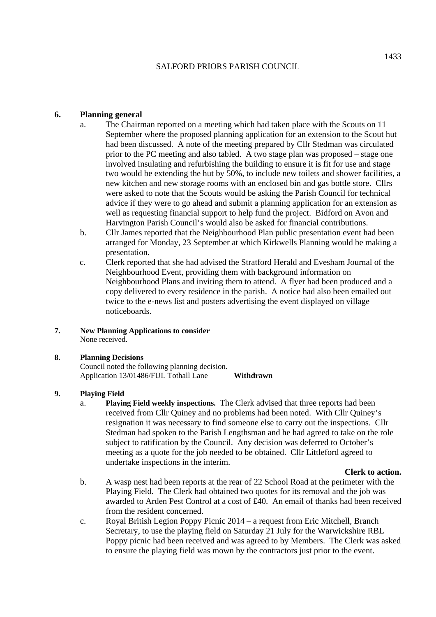## **6. Planning general**

- a. The Chairman reported on a meeting which had taken place with the Scouts on 11 September where the proposed planning application for an extension to the Scout hut had been discussed. A note of the meeting prepared by Cllr Stedman was circulated prior to the PC meeting and also tabled. A two stage plan was proposed – stage one involved insulating and refurbishing the building to ensure it is fit for use and stage two would be extending the hut by 50%, to include new toilets and shower facilities, a new kitchen and new storage rooms with an enclosed bin and gas bottle store. Cllrs were asked to note that the Scouts would be asking the Parish Council for technical advice if they were to go ahead and submit a planning application for an extension as well as requesting financial support to help fund the project. Bidford on Avon and Harvington Parish Council's would also be asked for financial contributions.
- b. Cllr James reported that the Neighbourhood Plan public presentation event had been arranged for Monday, 23 September at which Kirkwells Planning would be making a presentation.
- c. Clerk reported that she had advised the Stratford Herald and Evesham Journal of the Neighbourhood Event, providing them with background information on Neighbourhood Plans and inviting them to attend. A flyer had been produced and a copy delivered to every residence in the parish. A notice had also been emailed out twice to the e-news list and posters advertising the event displayed on village noticeboards.
- **7. New Planning Applications to consider**  None received.

## **8. Planning Decisions**

Council noted the following planning decision. Application 13/01486/FUL Tothall Lane **Withdrawn** 

## **9. Playing Field**

a. **Playing Field weekly inspections.** The Clerk advised that three reports had been received from Cllr Quiney and no problems had been noted. With Cllr Quiney's resignation it was necessary to find someone else to carry out the inspections. Cllr Stedman had spoken to the Parish Lengthsman and he had agreed to take on the role subject to ratification by the Council. Any decision was deferred to October's meeting as a quote for the job needed to be obtained. Cllr Littleford agreed to undertake inspections in the interim.

### **Clerk to action.**

- b. A wasp nest had been reports at the rear of 22 School Road at the perimeter with the Playing Field. The Clerk had obtained two quotes for its removal and the job was awarded to Arden Pest Control at a cost of £40. An email of thanks had been received from the resident concerned.
- c. Royal British Legion Poppy Picnic 2014 a request from Eric Mitchell, Branch Secretary, to use the playing field on Saturday 21 July for the Warwickshire RBL Poppy picnic had been received and was agreed to by Members. The Clerk was asked to ensure the playing field was mown by the contractors just prior to the event.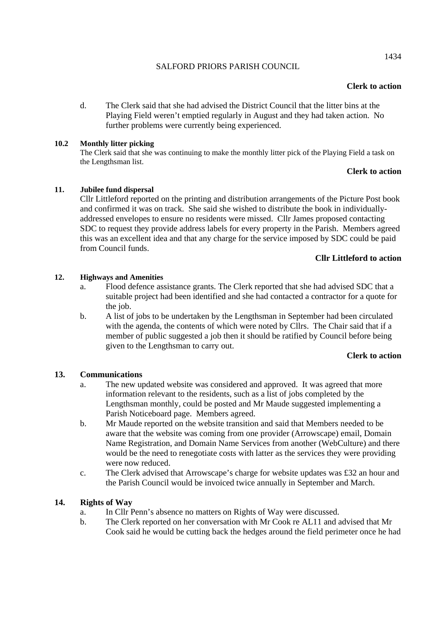### **Clerk to action**

d. The Clerk said that she had advised the District Council that the litter bins at the Playing Field weren't emptied regularly in August and they had taken action. No further problems were currently being experienced.

### **10.2 Monthly litter picking**

The Clerk said that she was continuing to make the monthly litter pick of the Playing Field a task on the Lengthsman list.

### **Clerk to action**

### **11. Jubilee fund dispersal**

Cllr Littleford reported on the printing and distribution arrangements of the Picture Post book and confirmed it was on track. She said she wished to distribute the book in individuallyaddressed envelopes to ensure no residents were missed. Cllr James proposed contacting SDC to request they provide address labels for every property in the Parish. Members agreed this was an excellent idea and that any charge for the service imposed by SDC could be paid from Council funds.

## **Cllr Littleford to action**

### **12. Highways and Amenities**

- a. Flood defence assistance grants. The Clerk reported that she had advised SDC that a suitable project had been identified and she had contacted a contractor for a quote for the job.
- b. A list of jobs to be undertaken by the Lengthsman in September had been circulated with the agenda, the contents of which were noted by Cllrs. The Chair said that if a member of public suggested a job then it should be ratified by Council before being given to the Lengthsman to carry out.

### **Clerk to action**

### **13. Communications**

- a. The new updated website was considered and approved. It was agreed that more information relevant to the residents, such as a list of jobs completed by the Lengthsman monthly, could be posted and Mr Maude suggested implementing a Parish Noticeboard page. Members agreed.
- b. Mr Maude reported on the website transition and said that Members needed to be aware that the website was coming from one provider (Arrowscape) email, Domain Name Registration, and Domain Name Services from another (WebCulture) and there would be the need to renegotiate costs with latter as the services they were providing were now reduced.
- c. The Clerk advised that Arrowscape's charge for website updates was £32 an hour and the Parish Council would be invoiced twice annually in September and March.

## **14. Rights of Way**

- a. In Cllr Penn's absence no matters on Rights of Way were discussed.
- b. The Clerk reported on her conversation with Mr Cook re AL11 and advised that Mr Cook said he would be cutting back the hedges around the field perimeter once he had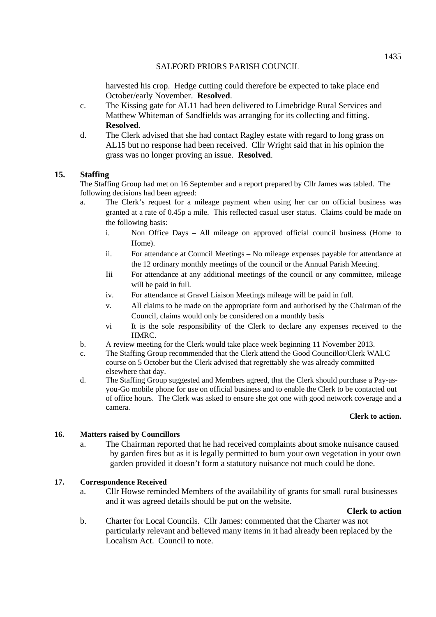harvested his crop. Hedge cutting could therefore be expected to take place end October/early November. **Resolved**.

- c. The Kissing gate for AL11 had been delivered to Limebridge Rural Services and Matthew Whiteman of Sandfields was arranging for its collecting and fitting. **Resolved**.
- d. The Clerk advised that she had contact Ragley estate with regard to long grass on AL15 but no response had been received. Cllr Wright said that in his opinion the grass was no longer proving an issue. **Resolved**.

## **15. Staffing**

The Staffing Group had met on 16 September and a report prepared by Cllr James was tabled. The following decisions had been agreed:

- a. The Clerk's request for a mileage payment when using her car on official business was granted at a rate of 0.45p a mile. This reflected casual user status. Claims could be made on the following basis:
	- i. Non Office Days All mileage on approved official council business (Home to Home).
	- ii. For attendance at Council Meetings No mileage expenses payable for attendance at the 12 ordinary monthly meetings of the council or the Annual Parish Meeting.
	- Iii For attendance at any additional meetings of the council or any committee, mileage will be paid in full.
	- iv. For attendance at Gravel Liaison Meetings mileage will be paid in full.
	- v. All claims to be made on the appropriate form and authorised by the Chairman of the Council, claims would only be considered on a monthly basis
	- vi It is the sole responsibility of the Clerk to declare any expenses received to the HMRC.
- b. A review meeting for the Clerk would take place week beginning 11 November 2013.
- c. The Staffing Group recommended that the Clerk attend the Good Councillor/Clerk WALC course on 5 October but the Clerk advised that regrettably she was already committed elsewhere that day.
- d. The Staffing Group suggested and Members agreed, that the Clerk should purchase a Pay-asyou-Go mobile phone for use on official business and to enable the Clerk to be contacted out of office hours. The Clerk was asked to ensure she got one with good network coverage and a camera.

### **Clerk to action.**

## **16. Matters raised by Councillors**

a. The Chairman reported that he had received complaints about smoke nuisance caused by garden fires but as it is legally permitted to burn your own vegetation in your own garden provided it doesn't form a statutory nuisance not much could be done.

### **17. Correspondence Received**

a. Cllr Howse reminded Members of the availability of grants for small rural businesses and it was agreed details should be put on the website.

### **Clerk to action**

b. Charter for Local Councils. Cllr James: commented that the Charter was not particularly relevant and believed many items in it had already been replaced by the Localism Act. Council to note.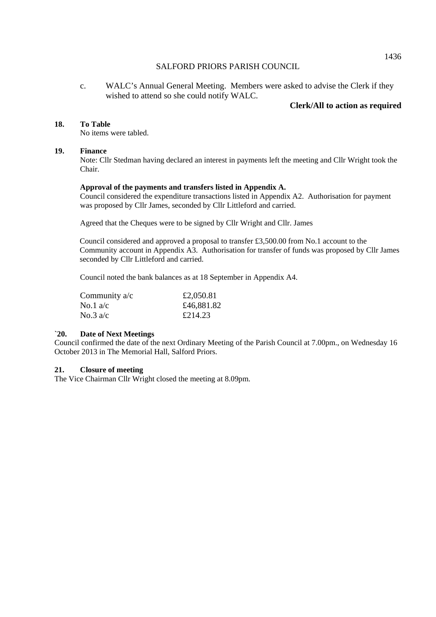c. WALC's Annual General Meeting. Members were asked to advise the Clerk if they wished to attend so she could notify WALC.

### **Clerk/All to action as required**

#### **18. To Table**

No items were tabled.

### **19. Finance**

Note: Cllr Stedman having declared an interest in payments left the meeting and Cllr Wright took the Chair.

#### **Approval of the payments and transfers listed in Appendix A.**

Council considered the expenditure transactions listed in Appendix A2. Authorisation for payment was proposed by Cllr James, seconded by Cllr Littleford and carried.

Agreed that the Cheques were to be signed by Cllr Wright and Cllr. James

 Council considered and approved a proposal to transfer £3,500.00 from No.1 account to the Community account in Appendix A3. Authorisation for transfer of funds was proposed by Cllr James seconded by Cllr Littleford and carried.

Council noted the bank balances as at 18 September in Appendix A4.

| Community $a/c$ | £2,050.81  |
|-----------------|------------|
| No.1 $a/c$      | £46,881.82 |
| No.3 $a/c$      | £214.23    |

#### **`20. Date of Next Meetings**

Council confirmed the date of the next Ordinary Meeting of the Parish Council at 7.00pm., on Wednesday 16 October 2013 in The Memorial Hall, Salford Priors.

#### **21. Closure of meeting**

The Vice Chairman Cllr Wright closed the meeting at 8.09pm.